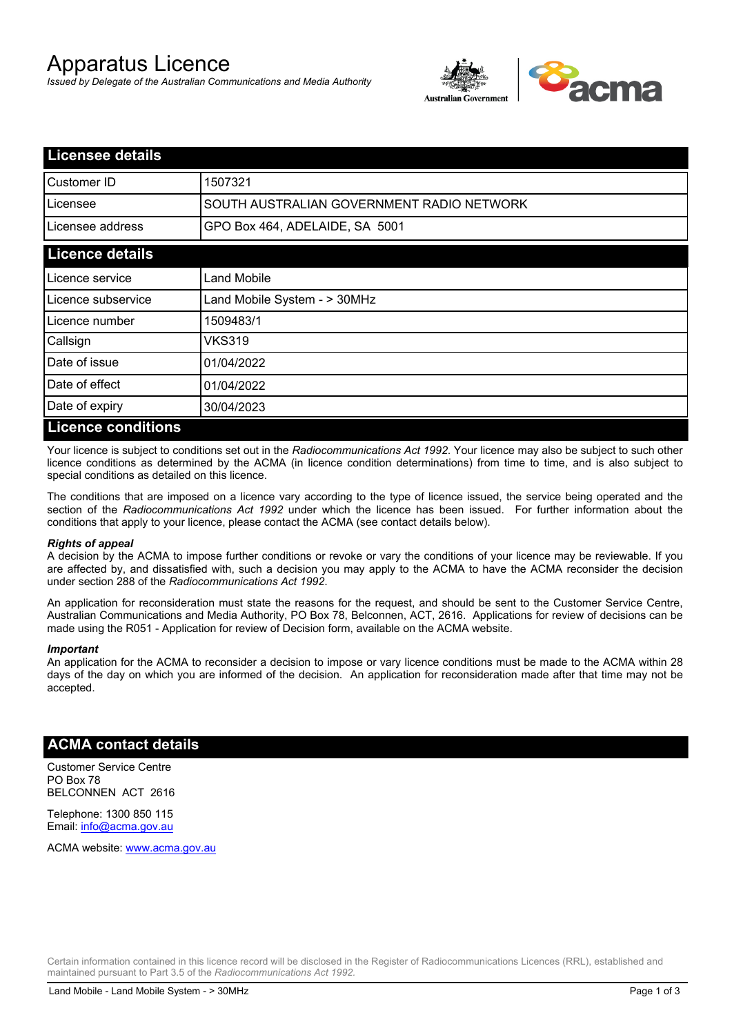# Apparatus Licence

*Issued by Delegate of the Australian Communications and Media Authority*



| <b>Licensee details</b>   |                                           |  |
|---------------------------|-------------------------------------------|--|
| Customer ID               | 1507321                                   |  |
| Licensee                  | SOUTH AUSTRALIAN GOVERNMENT RADIO NETWORK |  |
| Licensee address          | GPO Box 464, ADELAIDE, SA 5001            |  |
| <b>Licence details</b>    |                                           |  |
| Licence service           | Land Mobile                               |  |
| Licence subservice        | Land Mobile System - > 30MHz              |  |
| Licence number            | 1509483/1                                 |  |
| Callsign                  | VKS319                                    |  |
| Date of issue             | 01/04/2022                                |  |
| Date of effect            | 01/04/2022                                |  |
| Date of expiry            | 30/04/2023                                |  |
| <b>Licence conditions</b> |                                           |  |

Your licence is subject to conditions set out in the *Radiocommunications Act 1992*. Your licence may also be subject to such other licence conditions as determined by the ACMA (in licence condition determinations) from time to time, and is also subject to special conditions as detailed on this licence.

The conditions that are imposed on a licence vary according to the type of licence issued, the service being operated and the section of the *Radiocommunications Act 1992* under which the licence has been issued. For further information about the conditions that apply to your licence, please contact the ACMA (see contact details below).

#### *Rights of appeal*

A decision by the ACMA to impose further conditions or revoke or vary the conditions of your licence may be reviewable. If you are affected by, and dissatisfied with, such a decision you may apply to the ACMA to have the ACMA reconsider the decision under section 288 of the *Radiocommunications Act 1992*.

An application for reconsideration must state the reasons for the request, and should be sent to the Customer Service Centre, Australian Communications and Media Authority, PO Box 78, Belconnen, ACT, 2616. Applications for review of decisions can be made using the R051 - Application for review of Decision form, available on the ACMA website.

#### *Important*

An application for the ACMA to reconsider a decision to impose or vary licence conditions must be made to the ACMA within 28 days of the day on which you are informed of the decision. An application for reconsideration made after that time may not be accepted.

### **ACMA contact details**

Customer Service Centre PO Box 78 BELCONNEN ACT 2616

Telephone: 1300 850 115 Email: info@acma.gov.au

ACMA website: www.acma.gov.au

Certain information contained in this licence record will be disclosed in the Register of Radiocommunications Licences (RRL), established and maintained pursuant to Part 3.5 of the *Radiocommunications Act 1992.*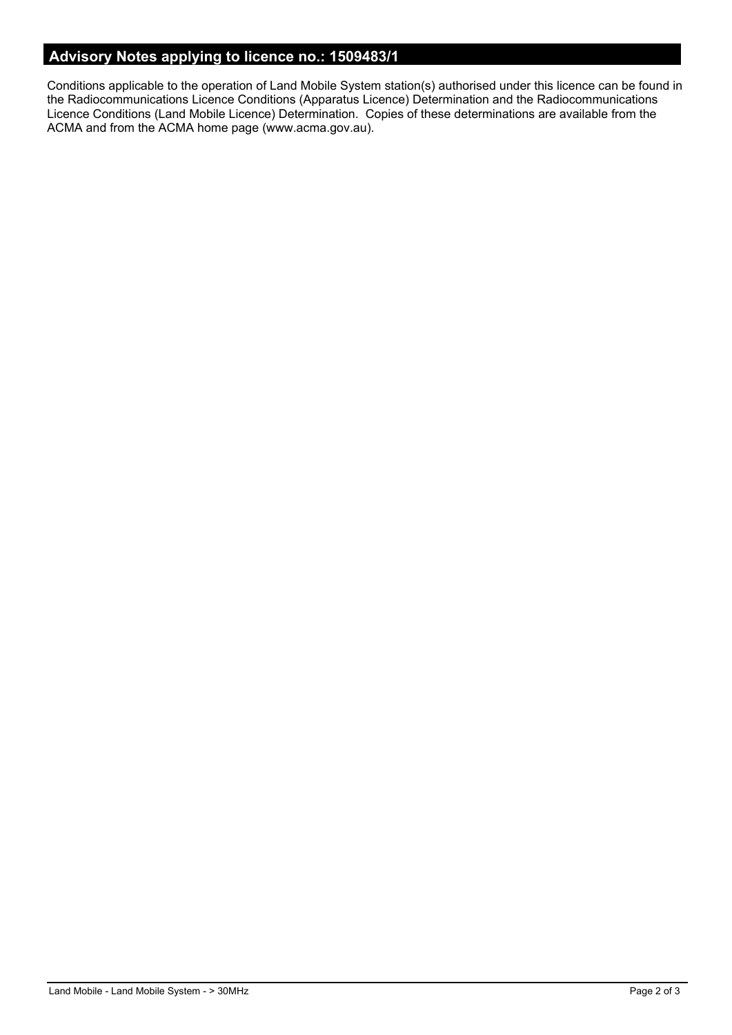# **Advisory Notes applying to licence no.: 1509483/1**

Conditions applicable to the operation of Land Mobile System station(s) authorised under this licence can be found in the Radiocommunications Licence Conditions (Apparatus Licence) Determination and the Radiocommunications Licence Conditions (Land Mobile Licence) Determination. Copies of these determinations are available from the ACMA and from the ACMA home page (www.acma.gov.au).